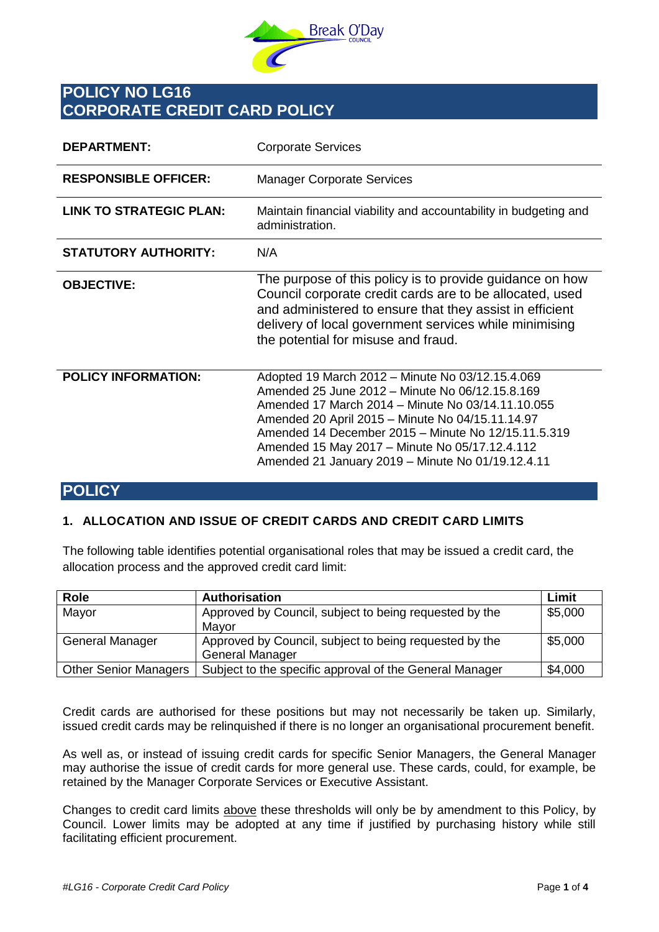

# **POLICY NO LG16 CORPORATE CREDIT CARD POLICY**

| <b>DEPARTMENT:</b>             | <b>Corporate Services</b>                                                                                                                                                                                                                                                                                                                                                  |
|--------------------------------|----------------------------------------------------------------------------------------------------------------------------------------------------------------------------------------------------------------------------------------------------------------------------------------------------------------------------------------------------------------------------|
| <b>RESPONSIBLE OFFICER:</b>    | <b>Manager Corporate Services</b>                                                                                                                                                                                                                                                                                                                                          |
| <b>LINK TO STRATEGIC PLAN:</b> | Maintain financial viability and accountability in budgeting and<br>administration.                                                                                                                                                                                                                                                                                        |
| <b>STATUTORY AUTHORITY:</b>    | N/A                                                                                                                                                                                                                                                                                                                                                                        |
| <b>OBJECTIVE:</b>              | The purpose of this policy is to provide guidance on how<br>Council corporate credit cards are to be allocated, used<br>and administered to ensure that they assist in efficient<br>delivery of local government services while minimising<br>the potential for misuse and fraud.                                                                                          |
| <b>POLICY INFORMATION:</b>     | Adopted 19 March 2012 - Minute No 03/12.15.4.069<br>Amended 25 June 2012 - Minute No 06/12.15.8.169<br>Amended 17 March 2014 - Minute No 03/14.11.10.055<br>Amended 20 April 2015 - Minute No 04/15.11.14.97<br>Amended 14 December 2015 - Minute No 12/15.11.5.319<br>Amended 15 May 2017 - Minute No 05/17.12.4.112<br>Amended 21 January 2019 - Minute No 01/19.12.4.11 |

# **POLICY**

## **1. ALLOCATION AND ISSUE OF CREDIT CARDS AND CREDIT CARD LIMITS**

The following table identifies potential organisational roles that may be issued a credit card, the allocation process and the approved credit card limit:

| Role                         | Authorisation                                           | Limit   |
|------------------------------|---------------------------------------------------------|---------|
| Mayor                        | Approved by Council, subject to being requested by the  | \$5,000 |
|                              | Mavor                                                   |         |
| General Manager              | Approved by Council, subject to being requested by the  | \$5,000 |
|                              | <b>General Manager</b>                                  |         |
| <b>Other Senior Managers</b> | Subject to the specific approval of the General Manager | \$4,000 |

Credit cards are authorised for these positions but may not necessarily be taken up. Similarly, issued credit cards may be relinquished if there is no longer an organisational procurement benefit.

As well as, or instead of issuing credit cards for specific Senior Managers, the General Manager may authorise the issue of credit cards for more general use. These cards, could, for example, be retained by the Manager Corporate Services or Executive Assistant.

Changes to credit card limits above these thresholds will only be by amendment to this Policy, by Council. Lower limits may be adopted at any time if justified by purchasing history while still facilitating efficient procurement.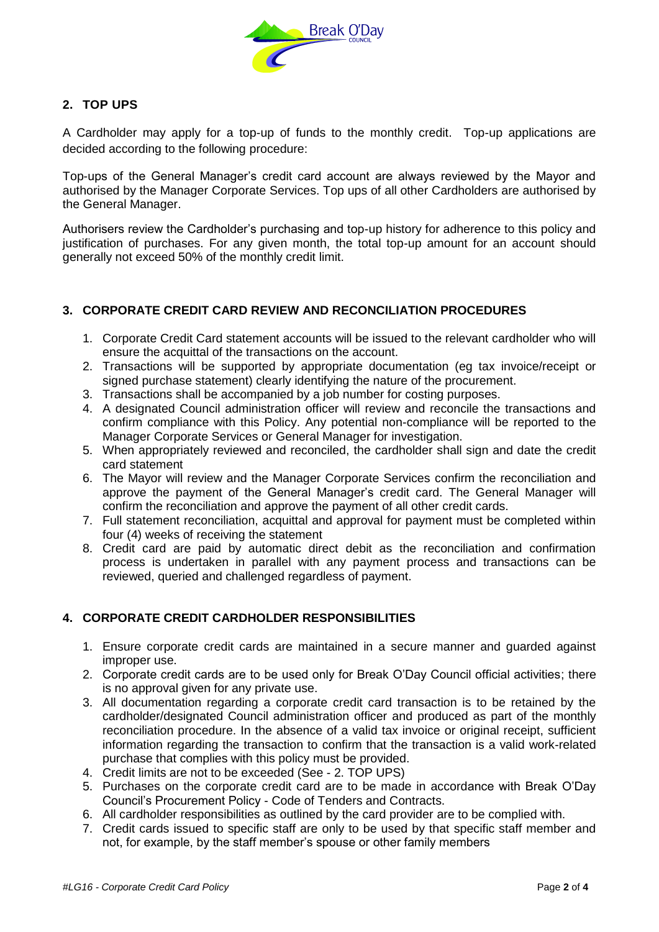

# **2. TOP UPS**

A Cardholder may apply for a top-up of funds to the monthly credit. Top-up applications are decided according to the following procedure:

Top-ups of the General Manager's credit card account are always reviewed by the Mayor and authorised by the Manager Corporate Services. Top ups of all other Cardholders are authorised by the General Manager.

Authorisers review the Cardholder's purchasing and top-up history for adherence to this policy and justification of purchases. For any given month, the total top-up amount for an account should generally not exceed 50% of the monthly credit limit.

# **3. CORPORATE CREDIT CARD REVIEW AND RECONCILIATION PROCEDURES**

- 1. Corporate Credit Card statement accounts will be issued to the relevant cardholder who will ensure the acquittal of the transactions on the account.
- 2. Transactions will be supported by appropriate documentation (eg tax invoice/receipt or signed purchase statement) clearly identifying the nature of the procurement.
- 3. Transactions shall be accompanied by a job number for costing purposes.
- 4. A designated Council administration officer will review and reconcile the transactions and confirm compliance with this Policy. Any potential non-compliance will be reported to the Manager Corporate Services or General Manager for investigation.
- 5. When appropriately reviewed and reconciled, the cardholder shall sign and date the credit card statement
- 6. The Mayor will review and the Manager Corporate Services confirm the reconciliation and approve the payment of the General Manager's credit card. The General Manager will confirm the reconciliation and approve the payment of all other credit cards.
- 7. Full statement reconciliation, acquittal and approval for payment must be completed within four (4) weeks of receiving the statement
- 8. Credit card are paid by automatic direct debit as the reconciliation and confirmation process is undertaken in parallel with any payment process and transactions can be reviewed, queried and challenged regardless of payment.

# **4. CORPORATE CREDIT CARDHOLDER RESPONSIBILITIES**

- 1. Ensure corporate credit cards are maintained in a secure manner and guarded against improper use.
- 2. Corporate credit cards are to be used only for Break O'Day Council official activities; there is no approval given for any private use.
- 3. All documentation regarding a corporate credit card transaction is to be retained by the cardholder/designated Council administration officer and produced as part of the monthly reconciliation procedure. In the absence of a valid tax invoice or original receipt, sufficient information regarding the transaction to confirm that the transaction is a valid work-related purchase that complies with this policy must be provided.
- 4. Credit limits are not to be exceeded (See 2. TOP UPS)
- 5. Purchases on the corporate credit card are to be made in accordance with Break O'Day Council's Procurement Policy - Code of Tenders and Contracts.
- 6. All cardholder responsibilities as outlined by the card provider are to be complied with.
- 7. Credit cards issued to specific staff are only to be used by that specific staff member and not, for example, by the staff member's spouse or other family members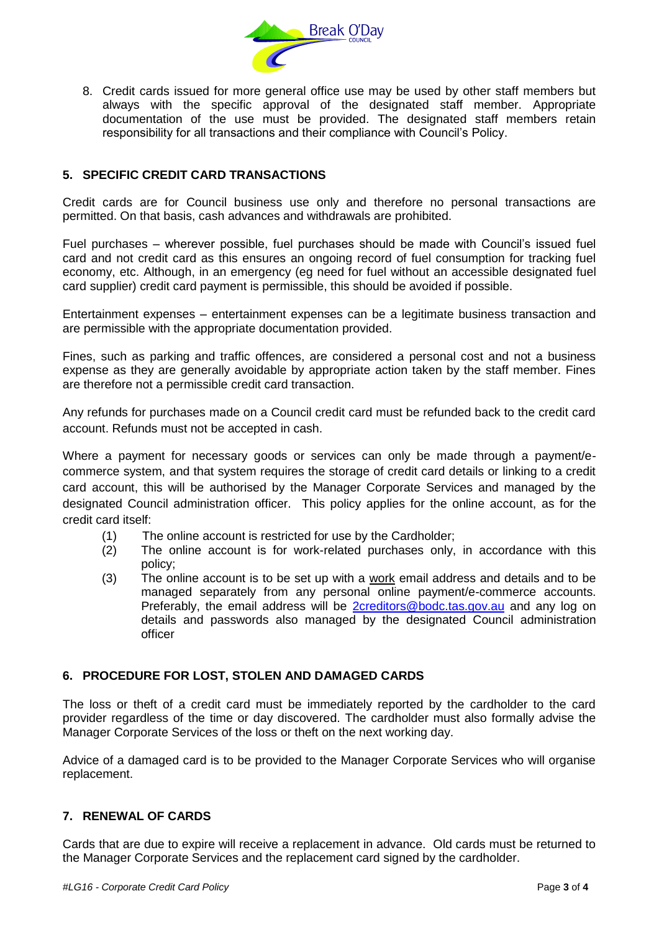

8. Credit cards issued for more general office use may be used by other staff members but always with the specific approval of the designated staff member. Appropriate documentation of the use must be provided. The designated staff members retain responsibility for all transactions and their compliance with Council's Policy.

# **5. SPECIFIC CREDIT CARD TRANSACTIONS**

Credit cards are for Council business use only and therefore no personal transactions are permitted. On that basis, cash advances and withdrawals are prohibited.

Fuel purchases – wherever possible, fuel purchases should be made with Council's issued fuel card and not credit card as this ensures an ongoing record of fuel consumption for tracking fuel economy, etc. Although, in an emergency (eg need for fuel without an accessible designated fuel card supplier) credit card payment is permissible, this should be avoided if possible.

Entertainment expenses – entertainment expenses can be a legitimate business transaction and are permissible with the appropriate documentation provided.

Fines, such as parking and traffic offences, are considered a personal cost and not a business expense as they are generally avoidable by appropriate action taken by the staff member. Fines are therefore not a permissible credit card transaction.

Any refunds for purchases made on a Council credit card must be refunded back to the credit card account. Refunds must not be accepted in cash.

Where a payment for necessary goods or services can only be made through a payment/ecommerce system, and that system requires the storage of credit card details or linking to a credit card account, this will be authorised by the Manager Corporate Services and managed by the designated Council administration officer. This policy applies for the online account, as for the credit card itself:

- (1) The online account is restricted for use by the Cardholder;
- (2) The online account is for work-related purchases only, in accordance with this policy;
- (3) The online account is to be set up with a work email address and details and to be managed separately from any personal online payment/e-commerce accounts. Preferably, the email address will be [2creditors@bodc.tas.gov.au](mailto:2creditors@bodc.tas.gov.au) and any log on details and passwords also managed by the designated Council administration officer

## **6. PROCEDURE FOR LOST, STOLEN AND DAMAGED CARDS**

The loss or theft of a credit card must be immediately reported by the cardholder to the card provider regardless of the time or day discovered. The cardholder must also formally advise the Manager Corporate Services of the loss or theft on the next working day.

Advice of a damaged card is to be provided to the Manager Corporate Services who will organise replacement.

## **7. RENEWAL OF CARDS**

Cards that are due to expire will receive a replacement in advance. Old cards must be returned to the Manager Corporate Services and the replacement card signed by the cardholder.